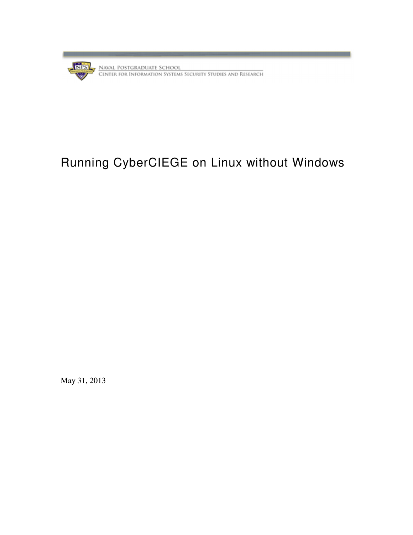

# Running CyberCIEGE on Linux without Windows

May 31, 2013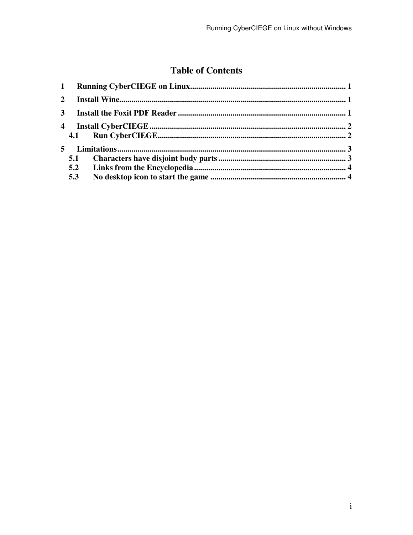## **Table of Contents**

| $\mathbf{1}$            |     |  |
|-------------------------|-----|--|
| $\mathcal{D}_{\cdot}$   |     |  |
| 3                       |     |  |
| $\overline{\mathbf{4}}$ |     |  |
|                         | 4.1 |  |
|                         |     |  |
|                         | 5.1 |  |
|                         | 5.2 |  |
|                         | 5.3 |  |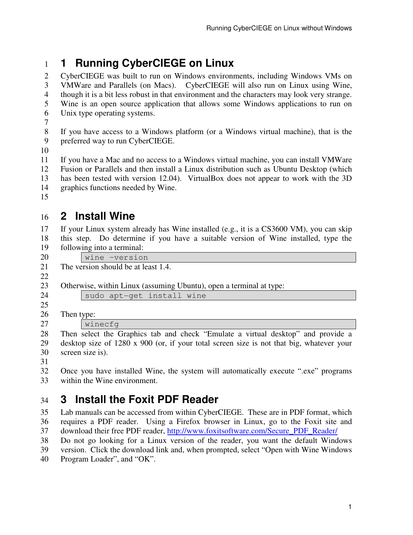# 1 **1 Running CyberCIEGE on Linux**

2 CyberCIEGE was built to run on Windows environments, including Windows VMs on 3 VMWare and Parallels (on Macs). CyberCIEGE will also run on Linux using Wine, 4 though it is a bit less robust in that environment and the characters may look very strange. 5 Wine is an open source application that allows some Windows applications to run on 6 Unix type operating systems.

7

8 If you have access to a Windows platform (or a Windows virtual machine), that is the 9 preferred way to run CyberCIEGE.

10

11 If you have a Mac and no access to a Windows virtual machine, you can install VMWare 12 Fusion or Parallels and then install a Linux distribution such as Ubuntu Desktop (which 13 has been tested with version 12.04). VirtualBox does not appear to work with the 3D 14 graphics functions needed by Wine.

15

# 16 **2 Install Wine**

17 If your Linux system already has Wine installed (e.g., it is a CS3600 VM), you can skip 18 this step. Do determine if you have a suitable version of Wine installed, type the 19 following into a terminal:

20 wine –version

22

21 The version should be at least 1.4.

23 Otherwise, within Linux (assuming Ubuntu), open a terminal at type:

| 24<br>sudo apt-get install wine |  |
|---------------------------------|--|
|---------------------------------|--|

25 26 Then type:

27 **winecfg** 

28 Then select the Graphics tab and check "Emulate a virtual desktop" and provide a 29 desktop size of 1280 x 900 (or, if your total screen size is not that big, whatever your 30 screen size is).

31

32 Once you have installed Wine, the system will automatically execute ".exe" programs 33 within the Wine environment.

# 34 **3 Install the Foxit PDF Reader**

35 Lab manuals can be accessed from within CyberCIEGE. These are in PDF format, which 36 requires a PDF reader. Using a Firefox browser in Linux, go to the Foxit site and 37 download their free PDF reader, http://www.foxitsoftware.com/Secure\_PDF\_Reader/

38 Do not go looking for a Linux version of the reader, you want the default Windows

39 version. Click the download link and, when prompted, select "Open with Wine Windows

40 Program Loader", and "OK".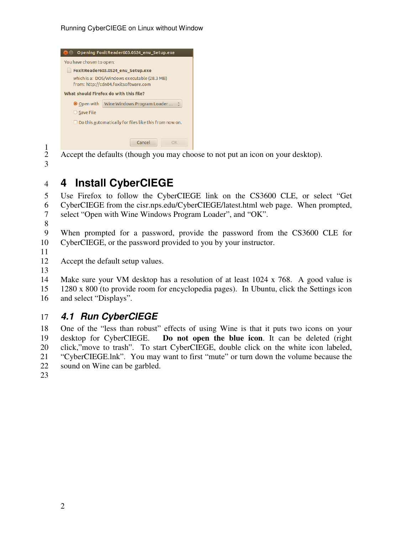#### Running CyberCIEGE on Linux without Window



 $\frac{1}{2}$ Accept the defaults (though you may choose to not put an icon on your desktop). 3

# 4 **4 Install CyberCIEGE**

5 Use Firefox to follow the CyberCIEGE link on the CS3600 CLE, or select "Get 6 CyberCIEGE from the cisr.nps.edu/CyberCIEGE/latest.html web page. When prompted, 7 select "Open with Wine Windows Program Loader", and "OK".

8

9 When prompted for a password, provide the password from the CS3600 CLE for 10 CyberCIEGE, or the password provided to you by your instructor.

11

12 Accept the default setup values.

13

14 Make sure your VM desktop has a resolution of at least 1024 x 768. A good value is 15 1280 x 800 (to provide room for encyclopedia pages). In Ubuntu, click the Settings icon 16 and select "Displays".

#### 17 **4.1 Run CyberCIEGE**

18 One of the "less than robust" effects of using Wine is that it puts two icons on your 19 desktop for CyberCIEGE. **Do not open the blue icon**. It can be deleted (right 20 click,"move to trash". To start CyberCIEGE, double click on the white icon labeled, 21 "CyberCIEGE.lnk". You may want to first "mute" or turn down the volume because the 22 sound on Wine can be garbled.

23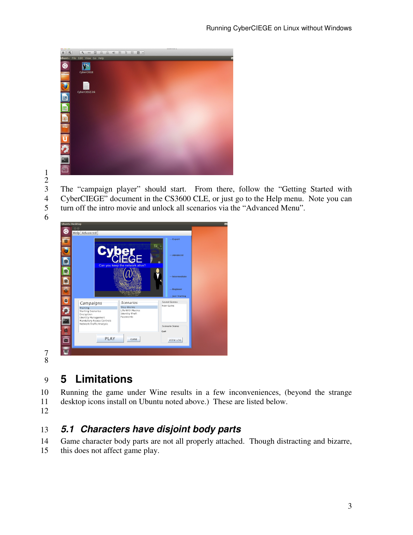

1 2

3 The "campaign player" should start. From there, follow the "Getting Started with 4 CyberCIEGE" document in the CS3600 CLE, or just go to the Help menu. Note you can 5 turn off the intro movie and unlock all scenarios via the "Advanced Menu".

6



7 8

# 9 **5 Limitations**

10 Running the game under Wine results in a few inconveniences, (beyond the strange 11 desktop icons install on Ubuntu noted above.) These are listed below.

12

## 13 **5.1 Characters have disjoint body parts**

14 Game character body parts are not all properly attached. Though distracting and bizarre,

15 this does not affect game play.